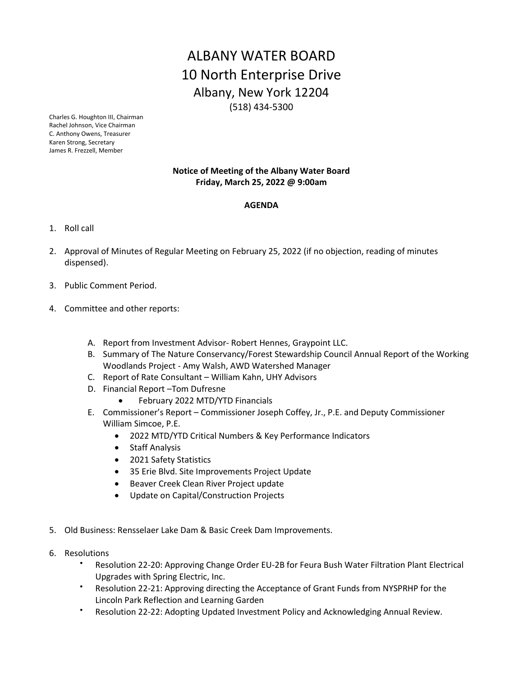## ALBANY WATER BOARD 10 North Enterprise Drive Albany, New York 12204 (518) 434-5300

Charles G. Houghton III, Chairman Rachel Johnson, Vice Chairman C. Anthony Owens, Treasurer Karen Strong, Secretary James R. Frezzell, Member

## **Notice of Meeting of the Albany Water Board Friday, March 25, 2022 @ 9:00am**

## **AGENDA**

- 1. Roll call
- 2. Approval of Minutes of Regular Meeting on February 25, 2022 (if no objection, reading of minutes dispensed).
- 3. Public Comment Period.
- 4. Committee and other reports:
	- A. Report from Investment Advisor- Robert Hennes, Graypoint LLC.
	- B. Summary of The Nature Conservancy/Forest Stewardship Council Annual Report of the Working Woodlands Project - Amy Walsh, AWD Watershed Manager
	- C. Report of Rate Consultant William Kahn, UHY Advisors
	- D. Financial Report –Tom Dufresne
		- February 2022 MTD/YTD Financials
	- E. Commissioner's Report Commissioner Joseph Coffey, Jr., P.E. and Deputy Commissioner William Simcoe, P.E.
		- 2022 MTD/YTD Critical Numbers & Key Performance Indicators
		- Staff Analysis
		- 2021 Safety Statistics
		- 35 Erie Blvd. Site Improvements Project Update
		- Beaver Creek Clean River Project update
		- Update on Capital/Construction Projects
- 5. Old Business: Rensselaer Lake Dam & Basic Creek Dam Improvements.
- 6. Resolutions
	- Resolution 22-20: Approving Change Order EU-2B for Feura Bush Water Filtration Plant Electrical Upgrades with Spring Electric, Inc.
	- Resolution 22-21: Approving directing the Acceptance of Grant Funds from NYSPRHP for the Lincoln Park Reflection and Learning Garden
	- Resolution 22-22: Adopting Updated Investment Policy and Acknowledging Annual Review.